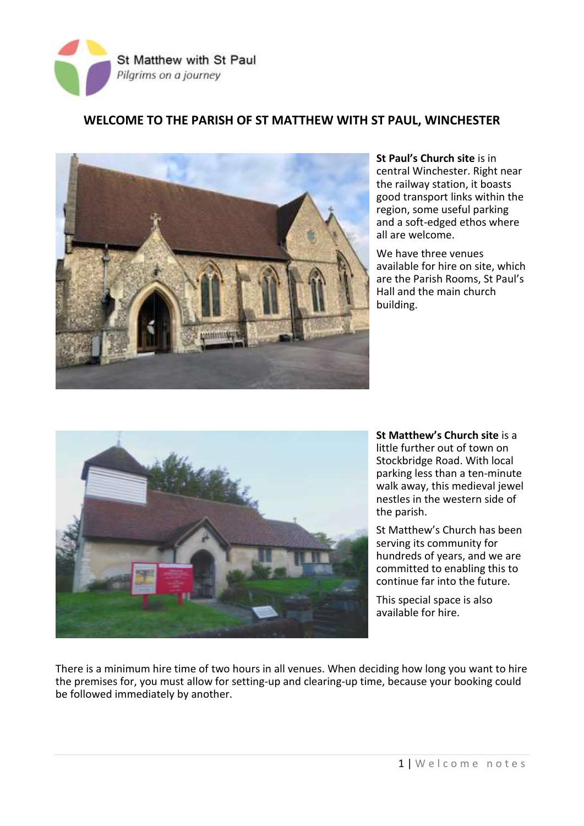

## **WELCOME TO THE PARISH OF ST MATTHEW WITH ST PAUL, WINCHESTER**



**St Paul's Church site** is in central Winchester. Right near the railway station, it boasts good transport links within the region, some useful parking and a soft-edged ethos where all are welcome.

We have three venues available for hire on site, which are the Parish Rooms, St Paul's Hall and the main church building.



**St Matthew's Church site** is a little further out of town on Stockbridge Road. With local parking less than a ten-minute walk away, this medieval jewel nestles in the western side of the parish.

St Matthew's Church has been serving its community for hundreds of years, and we are committed to enabling this to continue far into the future.

This special space is also available for hire.

There is a minimum hire time of two hours in all venues. When deciding how long you want to hire the premises for, you must allow for setting-up and clearing-up time, because your booking could be followed immediately by another.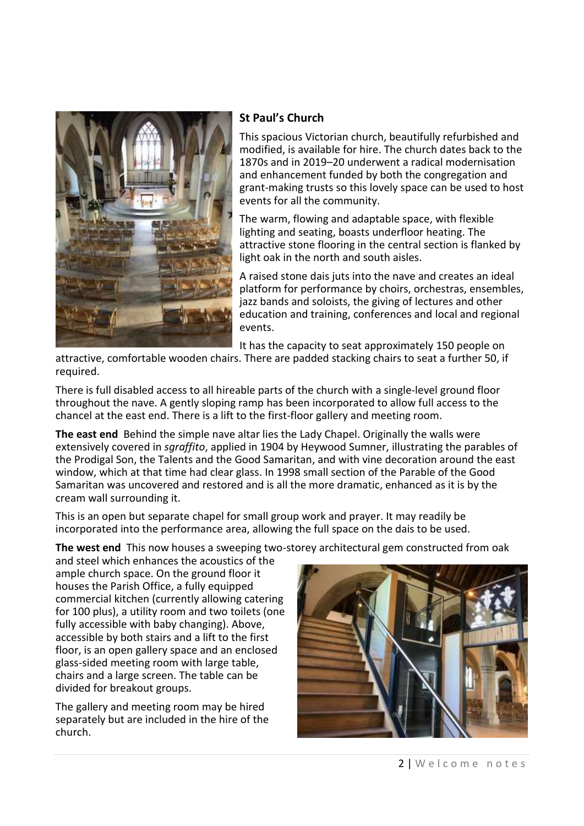

# **St Paul's Church**

This spacious Victorian church, beautifully refurbished and modified, is available for hire. The church dates back to the 1870s and in 2019–20 underwent a radical modernisation and enhancement funded by both the congregation and grant-making trusts so this lovely space can be used to host events for all the community.

The warm, flowing and adaptable space, with flexible lighting and seating, boasts underfloor heating. The attractive stone flooring in the central section is flanked by light oak in the north and south aisles.

A raised stone dais juts into the nave and creates an ideal platform for performance by choirs, orchestras, ensembles, jazz bands and soloists, the giving of lectures and other education and training, conferences and local and regional events.

It has the capacity to seat approximately 150 people on

attractive, comfortable wooden chairs. There are padded stacking chairs to seat a further 50, if required.

There is full disabled access to all hireable parts of the church with a single-level ground floor throughout the nave. A gently sloping ramp has been incorporated to allow full access to the chancel at the east end. There is a lift to the first-floor gallery and meeting room.

**The east end** Behind the simple nave altar lies the Lady Chapel. Originally the walls were extensively covered in *sgraffito*, applied in 1904 by Heywood Sumner, illustrating the parables of the Prodigal Son, the Talents and the Good Samaritan, and with vine decoration around the east window, which at that time had clear glass. In 1998 small section of the Parable of the Good Samaritan was uncovered and restored and is all the more dramatic, enhanced as it is by the cream wall surrounding it.

This is an open but separate chapel for small group work and prayer. It may readily be incorporated into the performance area, allowing the full space on the dais to be used.

**The west end** This now houses a sweeping two-storey architectural gem constructed from oak

and steel which enhances the acoustics of the ample church space. On the ground floor it houses the Parish Office, a fully equipped commercial kitchen (currently allowing catering for 100 plus), a utility room and two toilets (one fully accessible with baby changing). Above, accessible by both stairs and a lift to the first floor, is an open gallery space and an enclosed glass-sided meeting room with large table, chairs and a large screen. The table can be divided for breakout groups.

The gallery and meeting room may be hired separately but are included in the hire of the church.

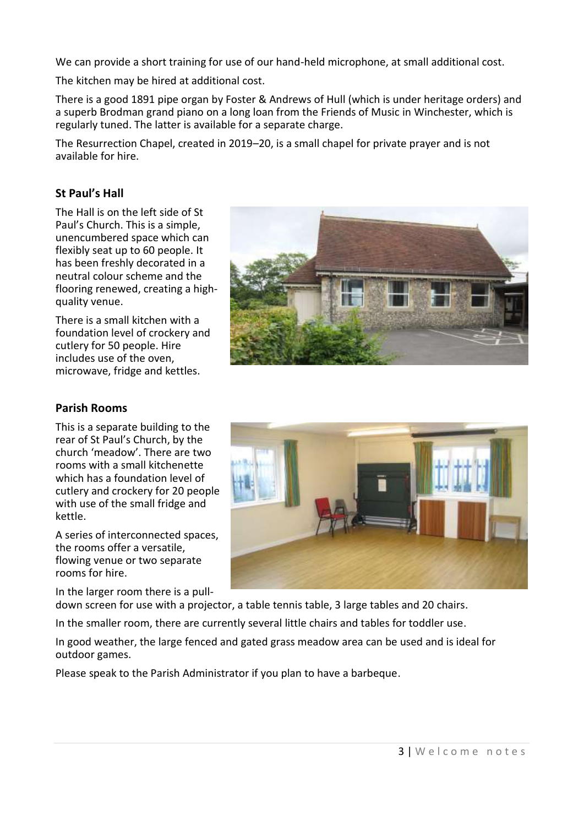We can provide a short training for use of our hand-held microphone, at small additional cost.

The kitchen may be hired at additional cost.

There is a good 1891 pipe organ by Foster & Andrews of Hull (which is under heritage orders) and a superb Brodman grand piano on a long loan from the Friends of Music in Winchester, which is regularly tuned. The latter is available for a separate charge.

The Resurrection Chapel, created in 2019–20, is a small chapel for private prayer and is not available for hire.

### **St Paul's Hall**

The Hall is on the left side of St Paul's Church. This is a simple, unencumbered space which can flexibly seat up to 60 people. It has been freshly decorated in a neutral colour scheme and the flooring renewed, creating a highquality venue.

There is a small kitchen with a foundation level of crockery and cutlery for 50 people. Hire includes use of the oven, microwave, fridge and kettles.



#### **Parish Rooms**

This is a separate building to the rear of St Paul's Church, by the church 'meadow'. There are two rooms with a small kitchenette which has a foundation level of cutlery and crockery for 20 people with use of the small fridge and kettle.

A series of interconnected spaces, the rooms offer a versatile, flowing venue or two separate rooms for hire.

In the larger room there is a pull-



down screen for use with a projector, a table tennis table, 3 large tables and 20 chairs.

In the smaller room, there are currently several little chairs and tables for toddler use.

In good weather, the large fenced and gated grass meadow area can be used and is ideal for outdoor games.

Please speak to the Parish Administrator if you plan to have a barbeque.